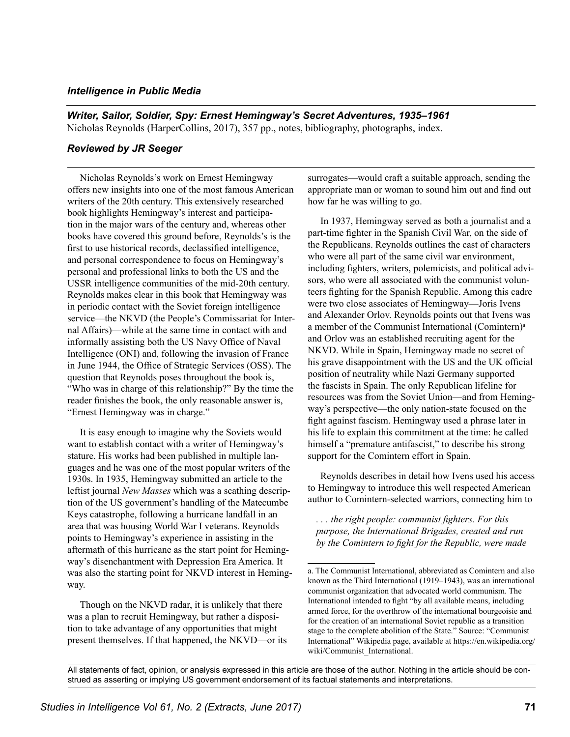## *Intelligence in Public Media*

*Writer, Sailor, Soldier, Spy: Ernest Hemingway's Secret Adventures, 1935–1961*  Nicholas Reynolds (HarperCollins, 2017), 357 pp., notes, bibliography, photographs, index.

## *Reviewed by JR Seeger*

Nicholas Reynolds's work on Ernest Hemingway offers new insights into one of the most famous American writers of the 20th century. This extensively researched book highlights Hemingway's interest and participation in the major wars of the century and, whereas other books have covered this ground before, Reynolds's is the first to use historical records, declassified intelligence, and personal correspondence to focus on Hemingway's personal and professional links to both the US and the USSR intelligence communities of the mid-20th century. Reynolds makes clear in this book that Hemingway was in periodic contact with the Soviet foreign intelligence service—the NKVD (the People's Commissariat for Internal Affairs)—while at the same time in contact with and informally assisting both the US Navy Office of Naval Intelligence (ONI) and, following the invasion of France in June 1944, the Office of Strategic Services (OSS). The question that Reynolds poses throughout the book is, "Who was in charge of this relationship?" By the time the reader finishes the book, the only reasonable answer is, "Ernest Hemingway was in charge."

It is easy enough to imagine why the Soviets would want to establish contact with a writer of Hemingway's stature. His works had been published in multiple languages and he was one of the most popular writers of the 1930s. In 1935, Hemingway submitted an article to the leftist journal *New Masses* which was a scathing description of the US government's handling of the Matecumbe Keys catastrophe, following a hurricane landfall in an area that was housing World War I veterans. Reynolds points to Hemingway's experience in assisting in the aftermath of this hurricane as the start point for Hemingway's disenchantment with Depression Era America. It was also the starting point for NKVD interest in Hemingway.

Though on the NKVD radar, it is unlikely that there was a plan to recruit Hemingway, but rather a disposition to take advantage of any opportunities that might present themselves. If that happened, the NKVD—or its surrogates—would craft a suitable approach, sending the appropriate man or woman to sound him out and find out how far he was willing to go.

In 1937, Hemingway served as both a journalist and a part-time fighter in the Spanish Civil War, on the side of the Republicans. Reynolds outlines the cast of characters who were all part of the same civil war environment, including fighters, writers, polemicists, and political advisors, who were all associated with the communist volunteers fighting for the Spanish Republic. Among this cadre were two close associates of Hemingway—Joris Ivens and Alexander Orlov. Reynolds points out that Ivens was a member of the Communist International (Comintern) a and Orlov was an established recruiting agent for the NKVD. While in Spain, Hemingway made no secret of his grave disappointment with the US and the UK official position of neutrality while Nazi Germany supported the fascists in Spain. The only Republican lifeline for resources was from the Soviet Union—and from Hemingway's perspective—the only nation-state focused on the fight against fascism. Hemingway used a phrase later in his life to explain this commitment at the time: he called himself a "premature antifascist," to describe his strong support for the Comintern effort in Spain.

Reynolds describes in detail how Ivens used his access to Hemingway to introduce this well respected American author to Comintern-selected warriors, connecting him to

*. . . the right people: communist fighters. For this purpose, the International Brigades, created and run by the Comintern to fight for the Republic, were made* 

All statements of fact, opinion, or analysis expressed in this article are those of the author. Nothing in the article should be construed as asserting or implying US government endorsement of its factual statements and interpretations.

a. The Communist International, abbreviated as Comintern and also known as the Third International (1919–1943), was an international communist organization that advocated world communism. The International intended to fight "by all available means, including armed force, for the overthrow of the international bourgeoisie and for the creation of an international Soviet republic as a transition stage to the complete abolition of the State." Source: "Communist International" Wikipedia page, available at https://en.wikipedia.org/ wiki/Communist\_International.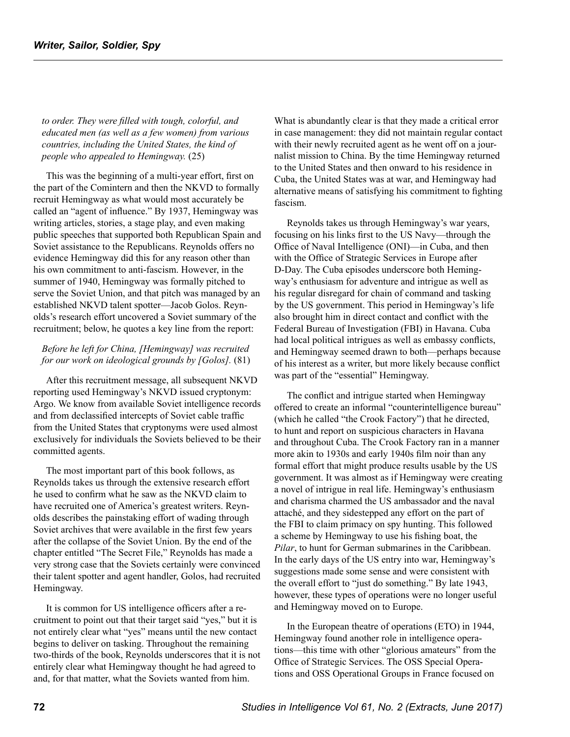*to order. They were filled with tough, colorful, and educated men (as well as a few women) from various countries, including the United States, the kind of people who appealed to Hemingway.* (25)

This was the beginning of a multi-year effort, first on the part of the Comintern and then the NKVD to formally recruit Hemingway as what would most accurately be called an "agent of influence." By 1937, Hemingway was writing articles, stories, a stage play, and even making public speeches that supported both Republican Spain and Soviet assistance to the Republicans. Reynolds offers no evidence Hemingway did this for any reason other than his own commitment to anti-fascism. However, in the summer of 1940, Hemingway was formally pitched to serve the Soviet Union, and that pitch was managed by an established NKVD talent spotter—Jacob Golos. Reynolds's research effort uncovered a Soviet summary of the recruitment; below, he quotes a key line from the report:

## *Before he left for China, [Hemingway] was recruited for our work on ideological grounds by [Golos].* (81)

After this recruitment message, all subsequent NKVD reporting used Hemingway's NKVD issued cryptonym: Argo. We know from available Soviet intelligence records and from declassified intercepts of Soviet cable traffic from the United States that cryptonyms were used almost exclusively for individuals the Soviets believed to be their committed agents.

The most important part of this book follows, as Reynolds takes us through the extensive research effort he used to confirm what he saw as the NKVD claim to have recruited one of America's greatest writers. Reynolds describes the painstaking effort of wading through Soviet archives that were available in the first few years after the collapse of the Soviet Union. By the end of the chapter entitled "The Secret File," Reynolds has made a very strong case that the Soviets certainly were convinced their talent spotter and agent handler, Golos, had recruited Hemingway.

It is common for US intelligence officers after a recruitment to point out that their target said "yes," but it is not entirely clear what "yes" means until the new contact begins to deliver on tasking. Throughout the remaining two-thirds of the book, Reynolds underscores that it is not entirely clear what Hemingway thought he had agreed to and, for that matter, what the Soviets wanted from him.

What is abundantly clear is that they made a critical error in case management: they did not maintain regular contact with their newly recruited agent as he went off on a journalist mission to China. By the time Hemingway returned to the United States and then onward to his residence in Cuba, the United States was at war, and Hemingway had alternative means of satisfying his commitment to fighting fascism.

Reynolds takes us through Hemingway's war years, focusing on his links first to the US Navy—through the Office of Naval Intelligence (ONI)—in Cuba, and then with the Office of Strategic Services in Europe after D-Day. The Cuba episodes underscore both Hemingway's enthusiasm for adventure and intrigue as well as his regular disregard for chain of command and tasking by the US government. This period in Hemingway's life also brought him in direct contact and conflict with the Federal Bureau of Investigation (FBI) in Havana. Cuba had local political intrigues as well as embassy conflicts, and Hemingway seemed drawn to both—perhaps because of his interest as a writer, but more likely because conflict was part of the "essential" Hemingway.

The conflict and intrigue started when Hemingway offered to create an informal "counterintelligence bureau" (which he called "the Crook Factory") that he directed, to hunt and report on suspicious characters in Havana and throughout Cuba. The Crook Factory ran in a manner more akin to 1930s and early 1940s film noir than any formal effort that might produce results usable by the US government. It was almost as if Hemingway were creating a novel of intrigue in real life. Hemingway's enthusiasm and charisma charmed the US ambassador and the naval attaché, and they sidestepped any effort on the part of the FBI to claim primacy on spy hunting. This followed a scheme by Hemingway to use his fishing boat, the *Pilar*, to hunt for German submarines in the Caribbean. In the early days of the US entry into war, Hemingway's suggestions made some sense and were consistent with the overall effort to "just do something." By late 1943, however, these types of operations were no longer useful and Hemingway moved on to Europe.

In the European theatre of operations (ETO) in 1944, Hemingway found another role in intelligence operations—this time with other "glorious amateurs" from the Office of Strategic Services. The OSS Special Operations and OSS Operational Groups in France focused on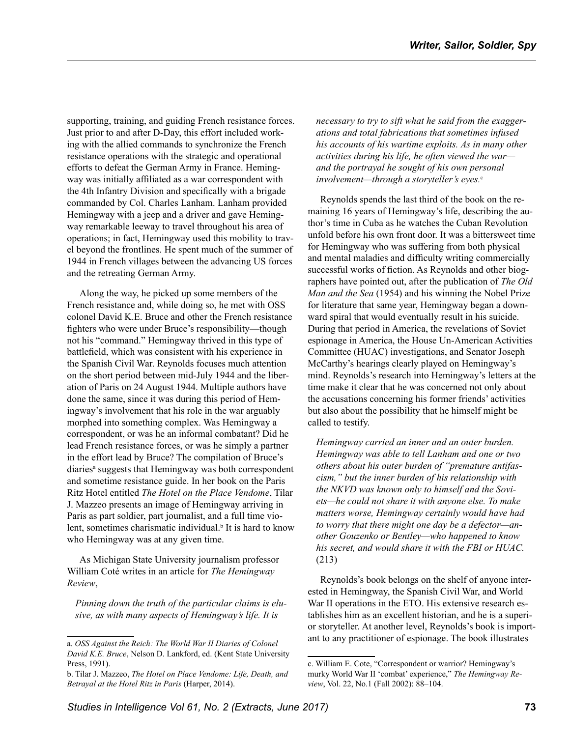supporting, training, and guiding French resistance forces. Just prior to and after D-Day, this effort included working with the allied commands to synchronize the French resistance operations with the strategic and operational efforts to defeat the German Army in France. Hemingway was initially affiliated as a war correspondent with the 4th Infantry Division and specifically with a brigade commanded by Col. Charles Lanham. Lanham provided Hemingway with a jeep and a driver and gave Hemingway remarkable leeway to travel throughout his area of operations; in fact, Hemingway used this mobility to travel beyond the frontlines. He spent much of the summer of 1944 in French villages between the advancing US forces and the retreating German Army.

Along the way, he picked up some members of the French resistance and, while doing so, he met with OSS colonel David K.E. Bruce and other the French resistance fighters who were under Bruce's responsibility—though not his "command." Hemingway thrived in this type of battlefield, which was consistent with his experience in the Spanish Civil War. Reynolds focuses much attention on the short period between mid-July 1944 and the liberation of Paris on 24 August 1944. Multiple authors have done the same, since it was during this period of Hemingway's involvement that his role in the war arguably morphed into something complex. Was Hemingway a correspondent, or was he an informal combatant? Did he lead French resistance forces, or was he simply a partner in the effort lead by Bruce? The compilation of Bruce's diaries<sup>a</sup> suggests that Hemingway was both correspondent and sometime resistance guide. In her book on the Paris Ritz Hotel entitled *The Hotel on the Place Vendome*, Tilar J. Mazzeo presents an image of Hemingway arriving in Paris as part soldier, part journalist, and a full time violent, sometimes charismatic individual.<sup>b</sup> It is hard to know who Hemingway was at any given time.

As Michigan State University journalism professor William Coté writes in an article for *The Hemingway Review*,

*Pinning down the truth of the particular claims is elusive, as with many aspects of Hemingway's life. It is* 

*necessary to try to sift what he said from the exaggerations and total fabrications that sometimes infused his accounts of his wartime exploits. As in many other activities during his life, he often viewed the war and the portrayal he sought of his own personal*  involvement—through a storyteller's eyes.<sup>c</sup>

Reynolds spends the last third of the book on the remaining 16 years of Hemingway's life, describing the author's time in Cuba as he watches the Cuban Revolution unfold before his own front door. It was a bittersweet time for Hemingway who was suffering from both physical and mental maladies and difficulty writing commercially successful works of fiction. As Reynolds and other biographers have pointed out, after the publication of *The Old Man and the Sea* (1954) and his winning the Nobel Prize for literature that same year, Hemingway began a downward spiral that would eventually result in his suicide. During that period in America, the revelations of Soviet espionage in America, the House Un-American Activities Committee (HUAC) investigations, and Senator Joseph McCarthy's hearings clearly played on Hemingway's mind. Reynolds's research into Hemingway's letters at the time make it clear that he was concerned not only about the accusations concerning his former friends' activities but also about the possibility that he himself might be called to testify.

*Hemingway carried an inner and an outer burden. Hemingway was able to tell Lanham and one or two others about his outer burden of "premature antifascism," but the inner burden of his relationship with the NKVD was known only to himself and the Soviets—he could not share it with anyone else. To make matters worse, Hemingway certainly would have had to worry that there might one day be a defector—another Gouzenko or Bentley—who happened to know his secret, and would share it with the FBI or HUAC.*  (213)

Reynolds's book belongs on the shelf of anyone interested in Hemingway, the Spanish Civil War, and World War II operations in the ETO. His extensive research establishes him as an excellent historian, and he is a superior storyteller. At another level, Reynolds's book is important to any practitioner of espionage. The book illustrates

a. *OSS Against the Reich: The World War II Diaries of Colonel David K.E. Bruce*, Nelson D. Lankford, ed. (Kent State University Press, 1991).

b. Tilar J. Mazzeo, *The Hotel on Place Vendome: Life, Death, and Betrayal at the Hotel Ritz in Paris* (Harper, 2014).

c. William E. Cote, "Correspondent or warrior? Hemingway's murky World War II 'combat' experience," *The Hemingway Review*, Vol. 22, No.1 (Fall 2002): 88–104.